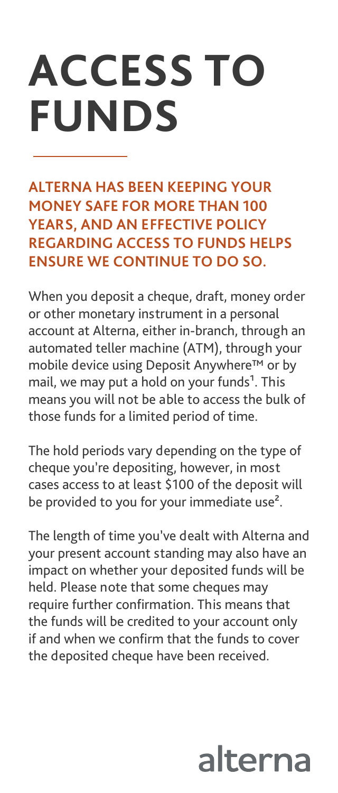## **ACCESS TO FUNDS**

**ALTERNA HAS BEEN KEEPING YOUR MONEY SAFE FOR MORE THAN 100 YEARS, AND AN EFFECTIVE POLICY REGARDING ACCESS TO FUNDS HELPS ENSURE WE CONTINUE TO DO SO.** 

When you deposit a cheque, draft, money order or other monetary instrument in a personal account at Alterna, either in-branch, through an automated teller machine (ATM), through your mobile device using Deposit Anywhere™ or by mail, we may put a hold on your funds<sup>1</sup>. This means you will not be able to access the bulk of those funds for a limited period of time.

The hold periods vary depending on the type of cheque you're depositing, however, in most cases access to at least \$100 of the deposit will be provided to you for your immediate use<sup>2</sup>.

The length of time you've dealt with Alterna and your present account standing may also have an impact on whether your deposited funds will be held. Please note that some cheques may require further confirmation. This means that the funds will be credited to your account only if and when we confirm that the funds to cover the deposited cheque have been received.